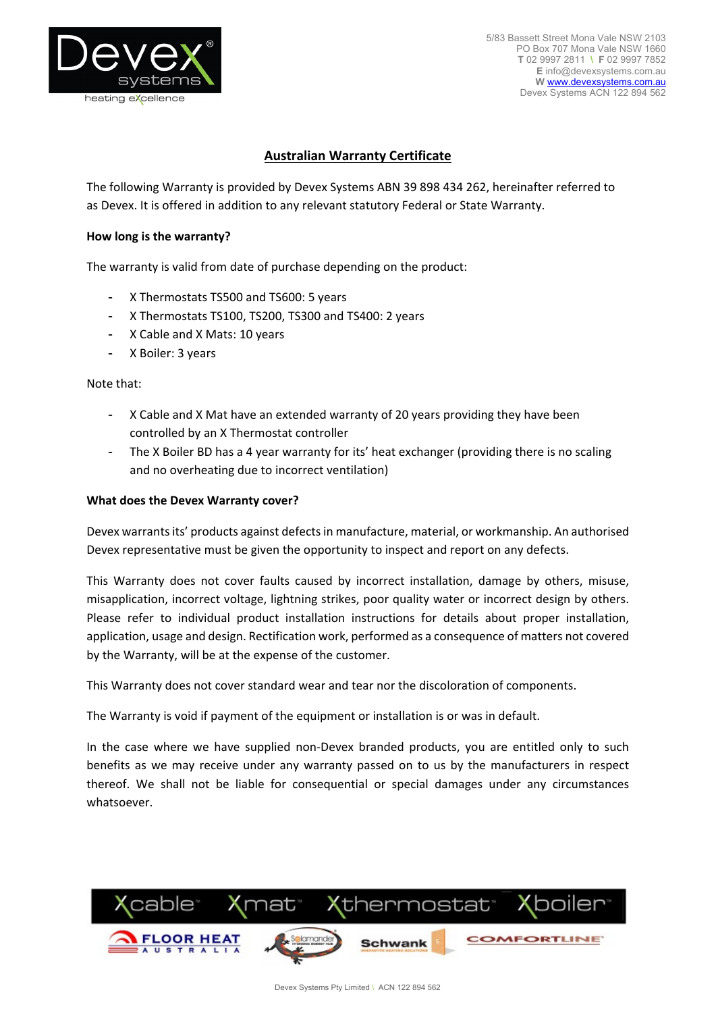

5/83 Bassett Street Mona Vale NSW 2103 PO Box 707 Mona Vale NSW 1660 **T** 02 9997 2811 **\ F** 02 9997 7852 **E** info@devexsystems.com.au **W** www.devexsystems.com.au Devex Systems ACN 122 894 562

# **Australian Warranty Certificate**

The following Warranty is provided by Devex Systems ABN 39 898 434 262, hereinafter referred to as Devex. It is offered in addition to any relevant statutory Federal or State Warranty.

### **How long is the warranty?**

The warranty is valid from date of purchase depending on the product:

- X Thermostats TS500 and TS600: 5 years
- X Thermostats TS100, TS200, TS300 and TS400: 2 years
- X Cable and X Mats: 10 years
- X Boiler: 3 years

#### Note that:

- X Cable and X Mat have an extended warranty of 20 years providing they have been controlled by an X Thermostat controller
- The X Boiler BD has a 4 year warranty for its' heat exchanger (providing there is no scaling and no overheating due to incorrect ventilation)

#### **What does the Devex Warranty cover?**

Devex warrants its' products against defects in manufacture, material, or workmanship. An authorised Devex representative must be given the opportunity to inspect and report on any defects.

This Warranty does not cover faults caused by incorrect installation, damage by others, misuse, misapplication, incorrect voltage, lightning strikes, poor quality water or incorrect design by others. Please refer to individual product installation instructions for details about proper installation, application, usage and design. Rectification work, performed as a consequence of matters not covered by the Warranty, will be at the expense of the customer.

This Warranty does not cover standard wear and tear nor the discoloration of components.

The Warranty is void if payment of the equipment or installation is or was in default.

In the case where we have supplied non-Devex branded products, you are entitled only to such benefits as we may receive under any warranty passed on to us by the manufacturers in respect thereof. We shall not be liable for consequential or special damages under any circumstances whatsoever.